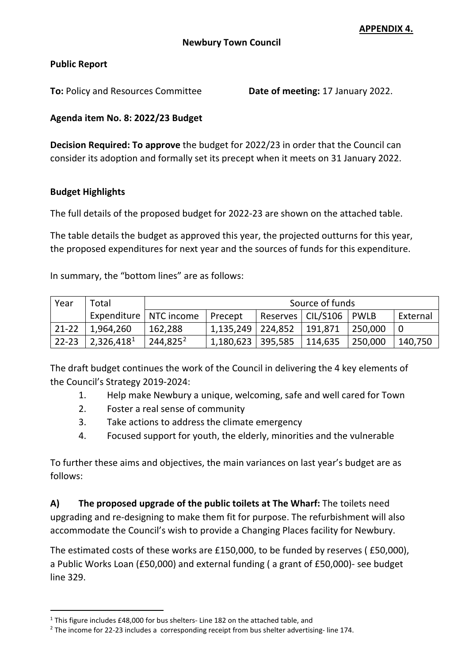## **Public Report**

**To:** Policy and Resources Committee **Date of meeting:** 17 January 2022.

## **Agenda item No. 8: 2022/23 Budget**

**Decision Required: To approve** the budget for 2022/23 in order that the Council can consider its adoption and formally set its precept when it meets on 31 January 2022.

## **Budget Highlights**

The full details of the proposed budget for 2022-23 are shown on the attached table.

The table details the budget as approved this year, the projected outturns for this year, the proposed expenditures for next year and the sources of funds for this expenditure.

In summary, the "bottom lines" are as follows:

| Year      | Total                  |             | Source of funds       |                     |         |             |          |  |  |  |  |  |  |
|-----------|------------------------|-------------|-----------------------|---------------------|---------|-------------|----------|--|--|--|--|--|--|
|           | Expenditure            | NTC income  | Precept               | Reserves   CIL/S106 |         | <b>PWLB</b> | External |  |  |  |  |  |  |
| $21 - 22$ | 1,964,260              | 162,288     | $1,135,249$   224,852 |                     | 191,871 | 250,000     |          |  |  |  |  |  |  |
| $22 - 23$ | 2,326,418 <sup>1</sup> | $244,825^2$ | 1,180,623 395,585     |                     | 114,635 | 250,000     | 140,750  |  |  |  |  |  |  |

The draft budget continues the work of the Council in delivering the 4 key elements of the Council's Strategy 2019-2024:

- 1. Help make Newbury a unique, welcoming, safe and well cared for Town
- 2. Foster a real sense of community
- 3. Take actions to address the climate emergency
- 4. Focused support for youth, the elderly, minorities and the vulnerable

To further these aims and objectives, the main variances on last year's budget are as follows:

**A) The proposed upgrade of the public toilets at The Wharf:** The toilets need upgrading and re-designing to make them fit for purpose. The refurbishment will also accommodate the Council's wish to provide a Changing Places facility for Newbury.

The estimated costs of these works are £150,000, to be funded by reserves ( £50,000), a Public Works Loan (£50,000) and external funding ( a grant of £50,000)- see budget line 329.

<span id="page-0-0"></span><sup>&</sup>lt;sup>1</sup> This figure includes £48,000 for bus shelters- Line 182 on the attached table, and <sup>2</sup> The income for 22-23 includes a corresponding receipt from bus shelter advertising- line 174.

<span id="page-0-1"></span>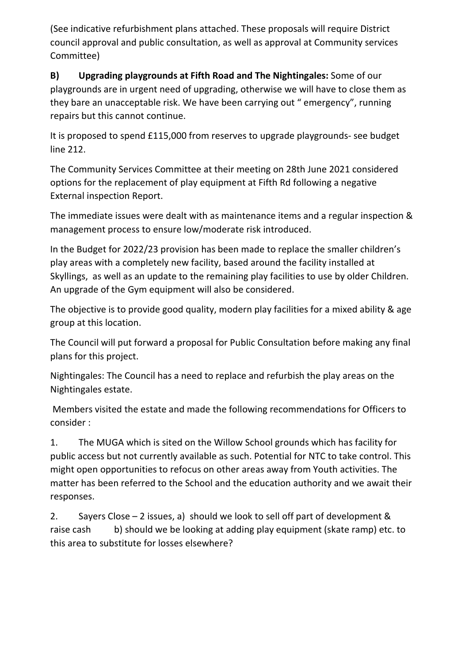(See indicative refurbishment plans attached. These proposals will require District council approval and public consultation, as well as approval at Community services Committee)

**B) Upgrading playgrounds at Fifth Road and The Nightingales:** Some of our playgrounds are in urgent need of upgrading, otherwise we will have to close them as they bare an unacceptable risk. We have been carrying out " emergency", running repairs but this cannot continue.

It is proposed to spend £115,000 from reserves to upgrade playgrounds- see budget line 212.

The Community Services Committee at their meeting on 28th June 2021 considered options for the replacement of play equipment at Fifth Rd following a negative External inspection Report.

The immediate issues were dealt with as maintenance items and a regular inspection & management process to ensure low/moderate risk introduced.

In the Budget for 2022/23 provision has been made to replace the smaller children's play areas with a completely new facility, based around the facility installed at Skyllings, as well as an update to the remaining play facilities to use by older Children. An upgrade of the Gym equipment will also be considered.

The objective is to provide good quality, modern play facilities for a mixed ability & age group at this location.

The Council will put forward a proposal for Public Consultation before making any final plans for this project.

Nightingales: The Council has a need to replace and refurbish the play areas on the Nightingales estate.

Members visited the estate and made the following recommendations for Officers to consider :

1. The MUGA which is sited on the Willow School grounds which has facility for public access but not currently available as such. Potential for NTC to take control. This might open opportunities to refocus on other areas away from Youth activities. The matter has been referred to the School and the education authority and we await their responses.

2. Sayers Close – 2 issues, a) should we look to sell off part of development & raise cash b) should we be looking at adding play equipment (skate ramp) etc. to this area to substitute for losses elsewhere?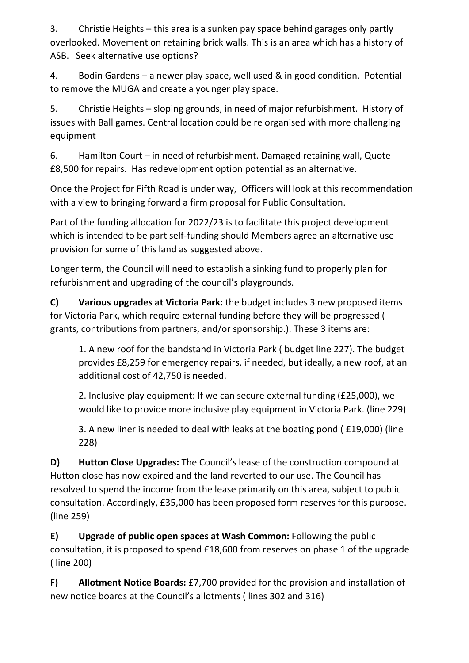3. Christie Heights – this area is a sunken pay space behind garages only partly overlooked. Movement on retaining brick walls. This is an area which has a history of ASB. Seek alternative use options?

4. Bodin Gardens – a newer play space, well used & in good condition. Potential to remove the MUGA and create a younger play space.

5. Christie Heights – sloping grounds, in need of major refurbishment. History of issues with Ball games. Central location could be re organised with more challenging equipment

6. Hamilton Court – in need of refurbishment. Damaged retaining wall, Quote £8,500 for repairs. Has redevelopment option potential as an alternative.

Once the Project for Fifth Road is under way, Officers will look at this recommendation with a view to bringing forward a firm proposal for Public Consultation.

Part of the funding allocation for 2022/23 is to facilitate this project development which is intended to be part self-funding should Members agree an alternative use provision for some of this land as suggested above.

Longer term, the Council will need to establish a sinking fund to properly plan for refurbishment and upgrading of the council's playgrounds.

**C) Various upgrades at Victoria Park:** the budget includes 3 new proposed items for Victoria Park, which require external funding before they will be progressed ( grants, contributions from partners, and/or sponsorship.). These 3 items are:

1. A new roof for the bandstand in Victoria Park ( budget line 227). The budget provides £8,259 for emergency repairs, if needed, but ideally, a new roof, at an additional cost of 42,750 is needed.

2. Inclusive play equipment: If we can secure external funding (£25,000), we would like to provide more inclusive play equipment in Victoria Park. (line 229)

3. A new liner is needed to deal with leaks at the boating pond ( £19,000) (line 228)

**D) Hutton Close Upgrades:** The Council's lease of the construction compound at Hutton close has now expired and the land reverted to our use. The Council has resolved to spend the income from the lease primarily on this area, subject to public consultation. Accordingly, £35,000 has been proposed form reserves for this purpose. (line 259)

**E) Upgrade of public open spaces at Wash Common:** Following the public consultation, it is proposed to spend £18,600 from reserves on phase 1 of the upgrade ( line 200)

**F) Allotment Notice Boards:** £7,700 provided for the provision and installation of new notice boards at the Council's allotments ( lines 302 and 316)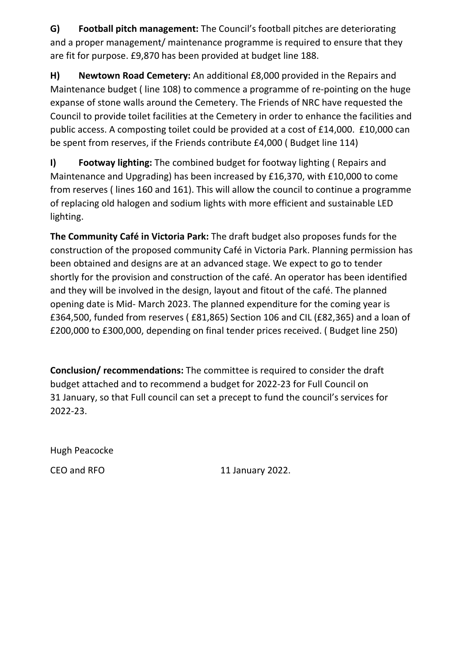**G) Football pitch management:** The Council's football pitches are deteriorating and a proper management/ maintenance programme is required to ensure that they are fit for purpose. £9,870 has been provided at budget line 188.

**H) Newtown Road Cemetery:** An additional £8,000 provided in the Repairs and Maintenance budget ( line 108) to commence a programme of re-pointing on the huge expanse of stone walls around the Cemetery. The Friends of NRC have requested the Council to provide toilet facilities at the Cemetery in order to enhance the facilities and public access. A composting toilet could be provided at a cost of £14,000. £10,000 can be spent from reserves, if the Friends contribute £4,000 ( Budget line 114)

**I) Footway lighting:** The combined budget for footway lighting ( Repairs and Maintenance and Upgrading) has been increased by £16,370, with £10,000 to come from reserves ( lines 160 and 161). This will allow the council to continue a programme of replacing old halogen and sodium lights with more efficient and sustainable LED lighting.

**The Community Café in Victoria Park:** The draft budget also proposes funds for the construction of the proposed community Café in Victoria Park. Planning permission has been obtained and designs are at an advanced stage. We expect to go to tender shortly for the provision and construction of the café. An operator has been identified and they will be involved in the design, layout and fitout of the café. The planned opening date is Mid- March 2023. The planned expenditure for the coming year is £364,500, funded from reserves ( £81,865) Section 106 and CIL (£82,365) and a loan of £200,000 to £300,000, depending on final tender prices received. ( Budget line 250)

**Conclusion/ recommendations:** The committee is required to consider the draft budget attached and to recommend a budget for 2022-23 for Full Council on 31 January, so that Full council can set a precept to fund the council's services for 2022-23.

Hugh Peacocke

CEO and RFO 11 January 2022.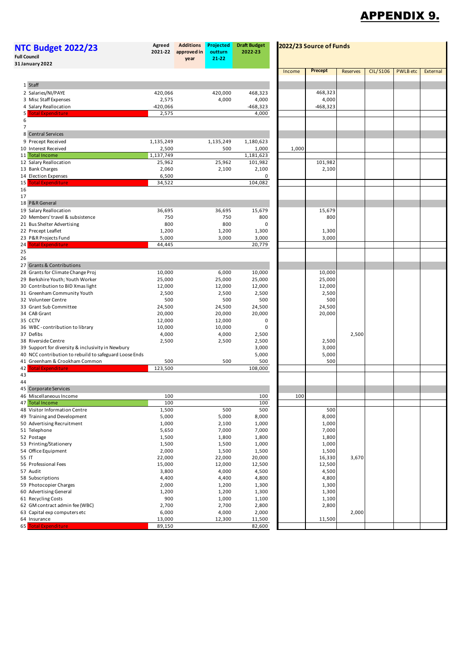## APPENDIX 9.

| <b>NTC Budget 2022/23</b><br><b>Full Council</b><br>31 January 2022   | <b>Additions</b><br>Projected<br><b>Draft Budget</b><br>Agreed<br>2022/23 Source of Funds<br>2021-22<br>approved in<br>outturn<br>2022-23<br>21-22<br>year |  |                 |                  |        |                  |                 |                 |                 |          |
|-----------------------------------------------------------------------|------------------------------------------------------------------------------------------------------------------------------------------------------------|--|-----------------|------------------|--------|------------------|-----------------|-----------------|-----------------|----------|
|                                                                       |                                                                                                                                                            |  |                 |                  | Income | <b>Precept</b>   | <b>Reserves</b> | <b>CIL/S106</b> | <b>PWLB</b> etc | External |
| 1 Staff                                                               |                                                                                                                                                            |  |                 |                  |        |                  |                 |                 |                 |          |
| 2 Salaries/NI/PAYE                                                    | 420,066                                                                                                                                                    |  | 420,000         | 468,323          |        | 468,323          |                 |                 |                 |          |
| 3 Misc Staff Expenses                                                 | 2,575                                                                                                                                                      |  | 4,000           | 4,000            |        | 4,000            |                 |                 |                 |          |
| 4 Salary Reallocation                                                 | -420,066                                                                                                                                                   |  |                 | -468,323         |        | $-468,323$       |                 |                 |                 |          |
| <b>Total Expenditure</b><br>5                                         | 2,575                                                                                                                                                      |  |                 | 4,000            |        |                  |                 |                 |                 |          |
| 6                                                                     |                                                                                                                                                            |  |                 |                  |        |                  |                 |                 |                 |          |
| $\overline{7}$<br>8 Central Services                                  |                                                                                                                                                            |  |                 |                  |        |                  |                 |                 |                 |          |
| 9 Precept Received                                                    | 1,135,249                                                                                                                                                  |  | 1,135,249       | 1,180,623        |        |                  |                 |                 |                 |          |
| 10 Interest Received                                                  | 2,500                                                                                                                                                      |  | 500             | 1,000            | 1,000  |                  |                 |                 |                 |          |
| 11 Total Income                                                       | 1,137,749                                                                                                                                                  |  |                 | 1,181,623        |        |                  |                 |                 |                 |          |
| 12 Salary Reallocation                                                | 25,962                                                                                                                                                     |  | 25,962          | 101,982          |        | 101,982          |                 |                 |                 |          |
| 13 Bank Charges<br>14 Election Expenses                               | 2,060                                                                                                                                                      |  | 2,100           | 2,100<br>0       |        | 2,100            |                 |                 |                 |          |
| <b>Total Expenditure</b><br>15                                        | 6,500<br>34,522                                                                                                                                            |  |                 | 104,082          |        |                  |                 |                 |                 |          |
| 16                                                                    |                                                                                                                                                            |  |                 |                  |        |                  |                 |                 |                 |          |
| 17                                                                    |                                                                                                                                                            |  |                 |                  |        |                  |                 |                 |                 |          |
| 18 P&R General                                                        |                                                                                                                                                            |  |                 |                  |        |                  |                 |                 |                 |          |
| 19 Salary Reallocation                                                | 36,695                                                                                                                                                     |  | 36,695          | 15,679           |        | 15,679           |                 |                 |                 |          |
| 20 Members' travel & subsistence                                      | 750                                                                                                                                                        |  | 750             | 800              |        | 800              |                 |                 |                 |          |
| 21 Bus Shelter Advertising<br>22 Precept Leaflet                      | 800<br>1,200                                                                                                                                               |  | 800<br>1,200    | 0<br>1,300       |        | 1,300            |                 |                 |                 |          |
| 23 P&R Projects Fund                                                  | 5,000                                                                                                                                                      |  | 3,000           | 3,000            |        | 3,000            |                 |                 |                 |          |
| <b>Total Expenditure</b><br>24                                        | 44,445                                                                                                                                                     |  |                 | 20,779           |        |                  |                 |                 |                 |          |
| 25                                                                    |                                                                                                                                                            |  |                 |                  |        |                  |                 |                 |                 |          |
| 26                                                                    |                                                                                                                                                            |  |                 |                  |        |                  |                 |                 |                 |          |
| 27 Grants & Contributions                                             |                                                                                                                                                            |  |                 |                  |        |                  |                 |                 |                 |          |
| 28 Grants for Climate Change Proj<br>29 Berkshire Youth; Youth Worker | 10,000<br>25,000                                                                                                                                           |  | 6,000<br>25,000 | 10,000<br>25,000 |        | 10,000<br>25,000 |                 |                 |                 |          |
| 30 Contribution to BID Xmas light                                     | 12,000                                                                                                                                                     |  | 12,000          | 12,000           |        | 12,000           |                 |                 |                 |          |
| 31 Greenham Community Youth                                           | 2,500                                                                                                                                                      |  | 2,500           | 2,500            |        | 2,500            |                 |                 |                 |          |
| 32 Volunteer Centre                                                   | 500                                                                                                                                                        |  | 500             | 500              |        | 500              |                 |                 |                 |          |
| 33 Grant Sub Committee                                                | 24,500                                                                                                                                                     |  | 24,500          | 24,500           |        | 24,500           |                 |                 |                 |          |
| 34 CAB Grant                                                          | 20,000                                                                                                                                                     |  | 20,000          | 20,000           |        | 20,000           |                 |                 |                 |          |
| 35 CCTV                                                               | 12,000                                                                                                                                                     |  | 12,000          | 0                |        |                  |                 |                 |                 |          |
| 36 WBC - contribution to library<br>37 Defibs                         | 10,000<br>4,000                                                                                                                                            |  | 10,000<br>4,000 | 0<br>2,500       |        |                  | 2,500           |                 |                 |          |
| 38 Riverside Centre                                                   | 2,500                                                                                                                                                      |  | 2,500           | 2,500            |        | 2,500            |                 |                 |                 |          |
| 39 Support for diversity & inclusivity in Newbury                     |                                                                                                                                                            |  |                 | 3,000            |        | 3,000            |                 |                 |                 |          |
| 40 NCC contribution to rebuild to safeguard Loose Ends                |                                                                                                                                                            |  |                 | 5,000            |        | 5,000            |                 |                 |                 |          |
| 41 Greenham & Crookham Common                                         | 500                                                                                                                                                        |  | 500             | 500              |        | 500              |                 |                 |                 |          |
| 42<br><b>Total Expenditure</b>                                        | 123,500                                                                                                                                                    |  |                 | 108,000          |        |                  |                 |                 |                 |          |
| 43<br>44                                                              |                                                                                                                                                            |  |                 |                  |        |                  |                 |                 |                 |          |
| 45 Corporate Services                                                 |                                                                                                                                                            |  |                 |                  |        |                  |                 |                 |                 |          |
| 46 Miscellaneous Income                                               | 100                                                                                                                                                        |  |                 | 100              | 100    |                  |                 |                 |                 |          |
| 47 Total Income                                                       | 100                                                                                                                                                        |  |                 | 100              |        |                  |                 |                 |                 |          |
| 48 Visitor Information Centre<br>49 Training and Development          | 1,500<br>5,000                                                                                                                                             |  | 500<br>5,000    | 500<br>8,000     |        | 500<br>8,000     |                 |                 |                 |          |
| 50 Advertising Recruitment                                            | 1,000                                                                                                                                                      |  | 2,100           | 1,000            |        | 1,000            |                 |                 |                 |          |
| 51 Telephone                                                          | 5,650                                                                                                                                                      |  | 7,000           | 7,000            |        | 7,000            |                 |                 |                 |          |
| 52 Postage                                                            | 1,500                                                                                                                                                      |  | 1,800           | 1,800            |        | 1,800            |                 |                 |                 |          |
| 53 Printing/Stationery                                                | 1,500                                                                                                                                                      |  | 1,500           | 1,000            |        | 1,000            |                 |                 |                 |          |
| 54 Office Equipment                                                   | 2,000                                                                                                                                                      |  | 1,500           | 1,500            |        | 1,500            |                 |                 |                 |          |
| 55 IT                                                                 | 22,000<br>15,000                                                                                                                                           |  | 22,000          | 20,000           |        | 16,330           | 3,670           |                 |                 |          |
| 56 Professional Fees<br>57 Audit                                      | 3,800                                                                                                                                                      |  | 12,000<br>4,000 | 12,500<br>4,500  |        | 12,500<br>4,500  |                 |                 |                 |          |
| 58 Subscriptions                                                      | 4,400                                                                                                                                                      |  | 4,400           | 4,800            |        | 4,800            |                 |                 |                 |          |
| 59 Photocopier Charges                                                | 2,000                                                                                                                                                      |  | 1,200           | 1,300            |        | 1,300            |                 |                 |                 |          |
| 60 Advertising General                                                | 1,200                                                                                                                                                      |  | 1,200           | 1,300            |        | 1,300            |                 |                 |                 |          |
| 61 Recycling Costs                                                    | 900                                                                                                                                                        |  | 1,000           | 1,100            |        | 1,100            |                 |                 |                 |          |
| 62 GM contract admin fee (WBC)                                        | 2,700                                                                                                                                                      |  | 2,700           | 2,800            |        | 2,800            |                 |                 |                 |          |
| 63 Capital exp computers etc<br>64 Insurance                          | 6,000<br>13,000                                                                                                                                            |  | 4,000<br>12,300 | 2,000<br>11,500  |        | 11,500           | 2,000           |                 |                 |          |
| 65 Total Expenditure                                                  | 89,150                                                                                                                                                     |  |                 | 82,600           |        |                  |                 |                 |                 |          |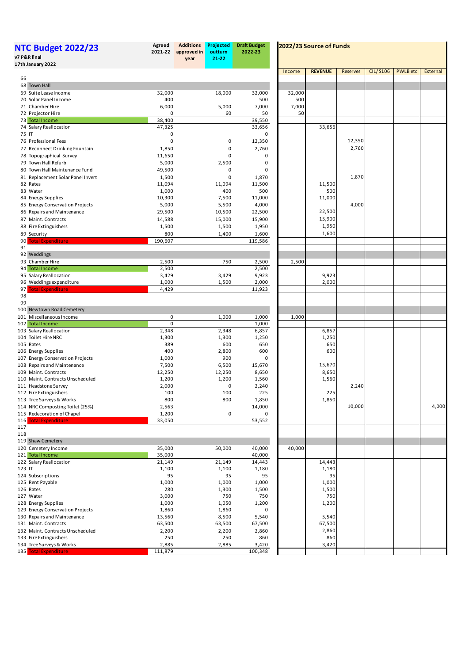| <b>NTC Budget 2022/23</b><br>v7 P&R final         | Agreed<br>2021-22 | <b>Additions</b><br>approved in<br>year | Projected<br>outturn<br>21-22 | <b>Draft Budget</b><br>2022-23 |             | 2022/23 Source of Funds |                 |                 |                 |          |
|---------------------------------------------------|-------------------|-----------------------------------------|-------------------------------|--------------------------------|-------------|-------------------------|-----------------|-----------------|-----------------|----------|
| 17th January 2022                                 |                   |                                         |                               |                                | Income      | <b>REVENUE</b>          | <b>Reserves</b> | <b>CIL/S106</b> | <b>PWLB</b> etc | External |
| 66                                                |                   |                                         |                               |                                |             |                         |                 |                 |                 |          |
| 68 Town Hall                                      |                   |                                         |                               |                                |             |                         |                 |                 |                 |          |
| 69 Suite Lease Income                             | 32,000            |                                         | 18,000                        | 32,000                         | 32,000      |                         |                 |                 |                 |          |
| 70 Solar Panel Income                             | 400               |                                         |                               | 500                            | 500         |                         |                 |                 |                 |          |
| 71 Chamber Hire<br>72 Projector Hire              | 6,000<br>0        |                                         | 5,000<br>60                   | 7,000<br>50                    | 7,000<br>50 |                         |                 |                 |                 |          |
| 73 Total Income                                   | 38,400            |                                         |                               | 39,550                         |             |                         |                 |                 |                 |          |
| 74 Salary Reallocation                            | 47,325            |                                         |                               | 33,656                         |             | 33,656                  |                 |                 |                 |          |
| 75 IT                                             | 0                 |                                         |                               | 0                              |             |                         |                 |                 |                 |          |
| 76 Professional Fees                              | $\mathbf 0$       |                                         | 0                             | 12,350                         |             |                         | 12,350          |                 |                 |          |
| 77 Reconnect Drinking Fountain                    | 1,850             |                                         | 0                             | 2,760                          |             |                         | 2,760           |                 |                 |          |
| 78 Topographical Survey                           | 11,650            |                                         | 0                             | 0                              |             |                         |                 |                 |                 |          |
| 79 Town Hall Refurb                               | 5,000             |                                         | 2,500                         | 0                              |             |                         |                 |                 |                 |          |
| 80 Town Hall Maintenance Fund                     | 49,500            |                                         | $\mathbf 0$                   | 0                              |             |                         |                 |                 |                 |          |
| 81 Replacement Solar Panel Invert                 | 1,500             |                                         | 0                             | 1,870                          |             |                         | 1,870           |                 |                 |          |
| 82 Rates                                          | 11,094            |                                         | 11,094                        | 11,500                         |             | 11,500                  |                 |                 |                 |          |
| 83 Water                                          | 1,000             |                                         | 400                           | 500                            |             | 500                     |                 |                 |                 |          |
| 84 Energy Supplies                                | 10,300            |                                         | 7,500                         | 11,000                         |             | 11,000                  |                 |                 |                 |          |
| 85 Energy Conservation Projects                   | 5,000             |                                         | 5,500                         | 4,000                          |             |                         | 4,000           |                 |                 |          |
| 86 Repairs and Maintenance                        | 29,500            |                                         | 10,500                        | 22,500                         |             | 22,500<br>15,900        |                 |                 |                 |          |
| 87 Maint. Contracts                               | 14,588            |                                         | 15,000                        | 15,900                         |             | 1,950                   |                 |                 |                 |          |
| 88 Fire Extinguishers                             | 1,500             |                                         | 1,500                         | 1,950                          |             | 1,600                   |                 |                 |                 |          |
| 89 Security<br>90<br><b>Total Expenditure</b>     | 800<br>190,607    |                                         | 1,400                         | 1,600<br>119,586               |             |                         |                 |                 |                 |          |
| 91                                                |                   |                                         |                               |                                |             |                         |                 |                 |                 |          |
| 92 Weddings                                       |                   |                                         |                               |                                |             |                         |                 |                 |                 |          |
| 93 Chamber Hire                                   | 2,500             |                                         | 750                           | 2,500                          | 2,500       |                         |                 |                 |                 |          |
| 94 Total Income                                   | 2,500             |                                         |                               | 2,500                          |             |                         |                 |                 |                 |          |
| 95 Salary Reallocation                            | 3,429             |                                         | 3,429                         | 9,923                          |             | 9,923                   |                 |                 |                 |          |
| 96 Weddings expenditure                           | 1,000             |                                         | 1,500                         | 2,000                          |             | 2,000                   |                 |                 |                 |          |
| <b>Total Expenditure</b><br>97                    | 4,429             |                                         |                               | 11,923                         |             |                         |                 |                 |                 |          |
| 98                                                |                   |                                         |                               |                                |             |                         |                 |                 |                 |          |
| 99                                                |                   |                                         |                               |                                |             |                         |                 |                 |                 |          |
| 100 Newtown Road Cemetery                         |                   |                                         |                               |                                |             |                         |                 |                 |                 |          |
| 101 Miscellaneous Income                          | 0<br>0            |                                         | 1,000                         | 1,000                          | 1,000       |                         |                 |                 |                 |          |
| 102 Total Income<br>103 Salary Reallocation       | 2,348             |                                         | 2,348                         | 1,000<br>6,857                 |             | 6,857                   |                 |                 |                 |          |
| 104 Toilet Hire NRC                               | 1,300             |                                         | 1,300                         | 1,250                          |             | 1,250                   |                 |                 |                 |          |
| 105 Rates                                         | 389               |                                         | 600                           | 650                            |             | 650                     |                 |                 |                 |          |
| 106 Energy Supplies                               | 400               |                                         | 2,800                         | 600                            |             | 600                     |                 |                 |                 |          |
| 107 Energy Conservation Projects                  | 1,000             |                                         | 900                           | 0                              |             |                         |                 |                 |                 |          |
| 108 Repairs and Maintenance                       | 7,500             |                                         | 6,500                         | 15,670                         |             | 15,670                  |                 |                 |                 |          |
| 109 Maint. Contracts                              | 12,250            |                                         | 12,250                        | 8,650                          |             | 8,650                   |                 |                 |                 |          |
| 110 Maint. Contracts Unscheduled                  | 1,200             |                                         | 1,200                         | 1,560                          |             | 1,560                   |                 |                 |                 |          |
| 111 Headstone Survey                              | 2,000             |                                         | 0                             | 2,240                          |             |                         | 2,240           |                 |                 |          |
| 112 Fire Extinguishers                            | 100               |                                         | 100                           | 225                            |             | 225                     |                 |                 |                 |          |
| 113 Tree Surveys & Works                          | 800               |                                         | 800                           | 1,850                          |             | 1,850                   |                 |                 |                 |          |
| 114 NRC Composting Toilet (25%)                   | 2,563             |                                         |                               | 14,000                         |             |                         | 10,000          |                 |                 | 4,000    |
| 115 Redecoration of Chapel                        | 1,200             |                                         | 0                             | 0                              |             |                         |                 |                 |                 |          |
| <b>Total Expenditure</b><br>116                   | 33,050            |                                         |                               | 53,552                         |             |                         |                 |                 |                 |          |
| 117<br>118                                        |                   |                                         |                               |                                |             |                         |                 |                 |                 |          |
| 119 Shaw Cemetery                                 |                   |                                         |                               |                                |             |                         |                 |                 |                 |          |
| 120 Cemetery Income                               | 35,000            |                                         | 50,000                        | 40,000                         | 40,000      |                         |                 |                 |                 |          |
| 121 Total Income                                  | 35,000            |                                         |                               | 40,000                         |             |                         |                 |                 |                 |          |
| 122 Salary Reallocation                           | 21,149            |                                         | 21,149                        | 14,443                         |             | 14,443                  |                 |                 |                 |          |
| 123 IT                                            | 1,100             |                                         | 1,100                         | 1,180                          |             | 1,180                   |                 |                 |                 |          |
| 124 Subscriptions                                 | 95                |                                         | 95                            | 95                             |             | 95                      |                 |                 |                 |          |
| 125 Rent Payable                                  | 1,000             |                                         | 1,000                         | 1,000                          |             | 1,000                   |                 |                 |                 |          |
| 126 Rates                                         | 280               |                                         | 1,300                         | 1,500                          |             | 1,500                   |                 |                 |                 |          |
| 127 Water                                         | 3,000             |                                         | 750                           | 750                            |             | 750                     |                 |                 |                 |          |
| 128 Energy Supplies                               | 1,000             |                                         | 1,050                         | 1,200                          |             | 1,200                   |                 |                 |                 |          |
| 129 Energy Conservation Projects                  | 1,860             |                                         | 1,860                         | 0                              |             |                         |                 |                 |                 |          |
| 130 Repairs and Maintenance                       | 13,560            |                                         | 8,500                         | 5,540                          |             | 5,540                   |                 |                 |                 |          |
| 131 Maint. Contracts                              | 63,500            |                                         | 63,500                        | 67,500                         |             | 67,500                  |                 |                 |                 |          |
| 132 Maint. Contracts Unscheduled                  | 2,200             |                                         | 2,200                         | 2,860                          |             | 2,860                   |                 |                 |                 |          |
| 133 Fire Extinguishers                            | 250               |                                         | 250                           | 860                            |             | 860                     |                 |                 |                 |          |
| 134 Tree Surveys & Works<br>135 Total Expenditure | 2,885             |                                         | 2,885                         | 3,420                          |             | 3,420                   |                 |                 |                 |          |
|                                                   | 111,879           |                                         |                               | 100,348                        |             |                         |                 |                 |                 |          |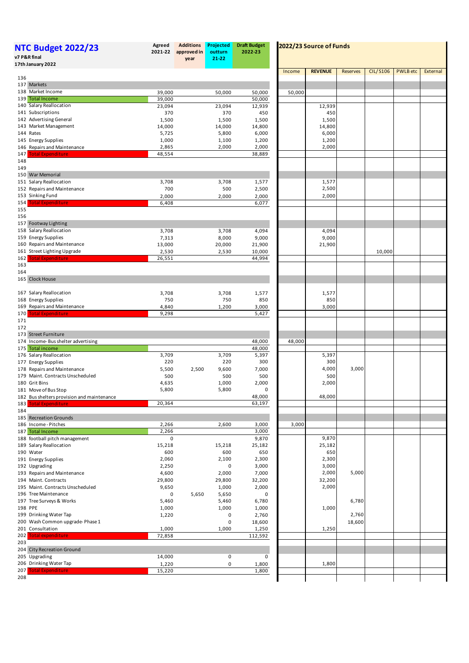| <b>NTC Budget 2022/23</b><br>v7 P&R final          | Agreed<br>2021-22 | <b>Additions</b><br>approved in<br>year | Projected<br>outturn<br>21-22 | <b>Draft Budget</b><br>2022-23 | 2022/23 Source of Funds |                 |          |                 |                 |          |
|----------------------------------------------------|-------------------|-----------------------------------------|-------------------------------|--------------------------------|-------------------------|-----------------|----------|-----------------|-----------------|----------|
| 17th January 2022                                  |                   |                                         |                               |                                |                         |                 |          |                 |                 |          |
| 136                                                |                   |                                         |                               |                                | Income                  | <b>REVENUE</b>  | Reserves | <b>CIL/S106</b> | <b>PWLB</b> etc | External |
| 137 Markets                                        |                   |                                         |                               |                                |                         |                 |          |                 |                 |          |
| 138 Market Income                                  | 39,000            |                                         | 50,000                        | 50,000                         | 50,000                  |                 |          |                 |                 |          |
| 139 Total Income                                   | 39,000            |                                         |                               | 50,000                         |                         |                 |          |                 |                 |          |
| 140 Salary Reallocation                            | 23,094            |                                         | 23,094                        | 12,939                         |                         | 12,939          |          |                 |                 |          |
| 141 Subscriptions                                  | 370               |                                         | 370                           | 450                            |                         | 450             |          |                 |                 |          |
| 142 Advertising General<br>143 Market Management   | 1,500             |                                         | 1,500                         | 1,500                          |                         | 1,500           |          |                 |                 |          |
| 144 Rates                                          | 14,000<br>5,725   |                                         | 14,000<br>5,800               | 14,800<br>6,000                |                         | 14,800<br>6,000 |          |                 |                 |          |
| 145 Energy Supplies                                | 1,000             |                                         | 1,100                         | 1,200                          |                         | 1,200           |          |                 |                 |          |
| 146 Repairs and Maintenance                        | 2,865             |                                         | 2,000                         | 2,000                          |                         | 2,000           |          |                 |                 |          |
| <b>Total Expenditure</b><br>147                    | 48,554            |                                         |                               | 38,889                         |                         |                 |          |                 |                 |          |
| 148                                                |                   |                                         |                               |                                |                         |                 |          |                 |                 |          |
| 149                                                |                   |                                         |                               |                                |                         |                 |          |                 |                 |          |
| 150 War Memorial<br>151 Salary Reallocation        | 3,708             |                                         | 3,708                         | 1,577                          |                         | 1,577           |          |                 |                 |          |
| 152 Repairs and Maintenance                        | 700               |                                         | 500                           | 2,500                          |                         | 2,500           |          |                 |                 |          |
| 153 Sinking Fund                                   | 2,000             |                                         | 2,000                         | 2,000                          |                         | 2,000           |          |                 |                 |          |
| <b>Total Expenditure</b><br>154                    | 6,408             |                                         |                               | 6,077                          |                         |                 |          |                 |                 |          |
| 155                                                |                   |                                         |                               |                                |                         |                 |          |                 |                 |          |
| 156                                                |                   |                                         |                               |                                |                         |                 |          |                 |                 |          |
| 157 Footway Lighting                               |                   |                                         |                               |                                |                         |                 |          |                 |                 |          |
| 158 Salary Reallocation                            | 3,708             |                                         | 3,708                         | 4,094                          |                         | 4,094           |          |                 |                 |          |
| 159 Energy Supplies<br>160 Repairs and Maintenance | 7,313             |                                         | 8,000                         | 9,000                          |                         | 9,000           |          |                 |                 |          |
| 161 Street Lighting Upgrade                        | 13,000<br>2,530   |                                         | 20,000<br>2,530               | 21,900<br>10,000               |                         | 21,900          |          | 10,000          |                 |          |
| <b>Total Expenditure</b><br>162                    | 26,551            |                                         |                               | 44,994                         |                         |                 |          |                 |                 |          |
| 163                                                |                   |                                         |                               |                                |                         |                 |          |                 |                 |          |
| 164                                                |                   |                                         |                               |                                |                         |                 |          |                 |                 |          |
| 165 Clock House                                    |                   |                                         |                               |                                |                         |                 |          |                 |                 |          |
|                                                    |                   |                                         |                               |                                |                         |                 |          |                 |                 |          |
| 167 Salary Reallocation<br>168 Energy Supplies     | 3,708<br>750      |                                         | 3,708<br>750                  | 1,577<br>850                   |                         | 1,577<br>850    |          |                 |                 |          |
| 169 Repairs and Maintenance                        | 4,840             |                                         | 1,200                         | 3,000                          |                         | 3,000           |          |                 |                 |          |
| <b>Total Expenditure</b><br>170                    | 9,298             |                                         |                               | 5,427                          |                         |                 |          |                 |                 |          |
| 171                                                |                   |                                         |                               |                                |                         |                 |          |                 |                 |          |
| 172                                                |                   |                                         |                               |                                |                         |                 |          |                 |                 |          |
| 173 Street Furniture                               |                   |                                         |                               |                                |                         |                 |          |                 |                 |          |
| 174 Income-Bus shelter advertising                 |                   |                                         |                               | 48,000                         | 48,000                  |                 |          |                 |                 |          |
| 175 Total income<br>176 Salary Reallocation        | 3,709             |                                         | 3,709                         | 48,000<br>5,397                |                         | 5,397           |          |                 |                 |          |
| 177 Energy Supplies                                | 220               |                                         | 220                           | 300                            |                         | 300             |          |                 |                 |          |
| 178 Repairs and Maintenance                        | 5,500             | 2,500                                   | 9,600                         | 7,000                          |                         | 4,000           | 3,000    |                 |                 |          |
| 179 Maint. Contracts Unscheduled                   | 500               |                                         | 500                           | 500                            |                         | 500             |          |                 |                 |          |
| 180 Grit Bins                                      | 4,635             |                                         | 1,000                         | 2,000                          |                         | 2,000           |          |                 |                 |          |
| 181 Move of Bus Stop                               | 5,800             |                                         | 5,800                         | 0                              |                         |                 |          |                 |                 |          |
| 182 Bus shelters provision and maintenance         |                   |                                         |                               | 48,000                         |                         | 48,000          |          |                 |                 |          |
| 183<br><b>Total Expenditure</b>                    | 20,364            |                                         |                               | 63,197                         |                         |                 |          |                 |                 |          |
| 184<br>185 Recreation Grounds                      |                   |                                         |                               |                                |                         |                 |          |                 |                 |          |
| 186 Income-Pitches                                 | 2,266             |                                         | 2,600                         | 3,000                          | 3,000                   |                 |          |                 |                 |          |
| 187 Total Income                                   | 2,266             |                                         |                               | 3,000                          |                         |                 |          |                 |                 |          |
| 188 football pitch management                      | 0                 |                                         |                               | 9,870                          |                         | 9,870           |          |                 |                 |          |
| 189 Salary Reallocation                            | 15,218            |                                         | 15,218                        | 25,182                         |                         | 25,182          |          |                 |                 |          |
| 190 Water                                          | 600               |                                         | 600                           | 650                            |                         | 650             |          |                 |                 |          |
| 191 Energy Supplies                                | 2,060             |                                         | 2,100                         | 2,300                          |                         | 2,300           |          |                 |                 |          |
| 192 Upgrading<br>193 Repairs and Maintenance       | 2,250<br>4,600    |                                         | 0<br>2,000                    | 3,000<br>7,000                 |                         | 3,000<br>2,000  | 5,000    |                 |                 |          |
| 194 Maint. Contracts                               | 29,800            |                                         | 29,800                        | 32,200                         |                         | 32,200          |          |                 |                 |          |
| 195 Maint. Contracts Unscheduled                   | 9,650             |                                         | 1,000                         | 2,000                          |                         | 2,000           |          |                 |                 |          |
| 196 Tree Maintenance                               | 0                 | 5,650                                   | 5,650                         | $\mathbf 0$                    |                         |                 |          |                 |                 |          |
| 197 Tree Surveys & Works                           | 5,460             |                                         | 5,460                         | 6,780                          |                         |                 | 6,780    |                 |                 |          |
| 198 PPE                                            | 1,000             |                                         | 1,000                         | 1,000                          |                         | 1,000           |          |                 |                 |          |
| 199 Drinking Water Tap                             | 1,220             |                                         | 0                             | 2,760                          |                         |                 | 2,760    |                 |                 |          |
| 200 Wash Common upgrade-Phase 1                    |                   |                                         | 0                             | 18,600                         |                         |                 | 18,600   |                 |                 |          |
| 201 Consultation                                   | 1,000             |                                         | 1,000                         | 1,250                          |                         | 1,250           |          |                 |                 |          |
| <b>Total expenditure</b><br>202<br>203             | 72,858            |                                         |                               | 112,592                        |                         |                 |          |                 |                 |          |
| 204 City Recreation Ground                         |                   |                                         |                               |                                |                         |                 |          |                 |                 |          |
| 205 Upgrading                                      | 14,000            |                                         | 0                             | 0                              |                         |                 |          |                 |                 |          |
| 206 Drinking Water Tap                             | 1,220             |                                         | 0                             | 1,800                          |                         | 1,800           |          |                 |                 |          |
| 207<br><b>Total Expenditure</b>                    | 15,220            |                                         |                               | 1,800                          |                         |                 |          |                 |                 |          |
| 208                                                |                   |                                         |                               |                                |                         |                 |          |                 |                 |          |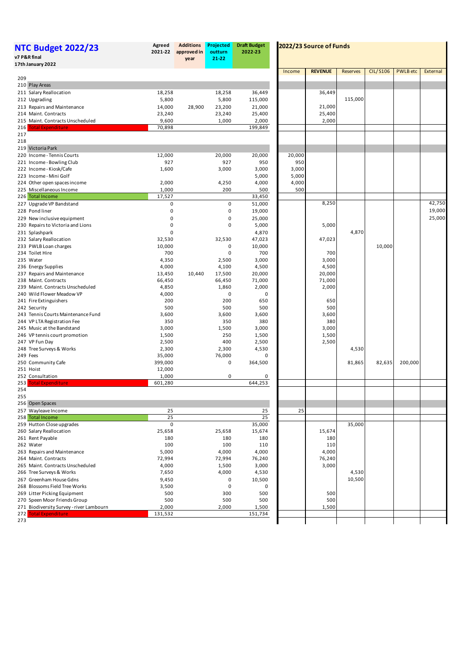| <b>NTC Budget 2022/23</b><br>v7 P&R final<br>17th January 2022 | Agreed<br>2021-22 | <b>Additions</b><br>approved in<br>year | Projected<br>outturn<br>21-22 | <b>Draft Budget</b><br>2022-23 |        | 2022/23 Source of Funds |                 | <b>CIL/S106</b><br><b>PWLB</b> etc<br>10,000<br>200,000<br>82,635 |  |          |
|----------------------------------------------------------------|-------------------|-----------------------------------------|-------------------------------|--------------------------------|--------|-------------------------|-----------------|-------------------------------------------------------------------|--|----------|
|                                                                |                   |                                         |                               |                                | Income | <b>REVENUE</b>          | <b>Reserves</b> |                                                                   |  | External |
| 209<br>210 Play Areas                                          |                   |                                         |                               |                                |        |                         |                 |                                                                   |  |          |
| 211 Salary Reallocation                                        | 18,258            |                                         | 18,258                        | 36,449                         |        | 36,449                  |                 |                                                                   |  |          |
| 212 Upgrading                                                  | 5,800             |                                         | 5,800                         | 115,000                        |        |                         | 115,000         |                                                                   |  |          |
| 213 Repairs and Maintenance                                    | 14,000            | 28,900                                  | 23,200                        | 21,000                         |        | 21,000                  |                 |                                                                   |  |          |
| 214 Maint. Contracts                                           | 23,240            |                                         | 23,240                        | 25,400                         |        | 25,400                  |                 |                                                                   |  |          |
| 215 Maint. Contracts Unscheduled                               | 9,600             |                                         | 1,000                         | 2,000                          |        | 2,000                   |                 |                                                                   |  |          |
| <b>Total Expenditure</b><br>216                                | 70,898            |                                         |                               | 199,849                        |        |                         |                 |                                                                   |  |          |
| 217<br>218                                                     |                   |                                         |                               |                                |        |                         |                 |                                                                   |  |          |
| 219 Victoria Park                                              |                   |                                         |                               |                                |        |                         |                 |                                                                   |  |          |
| 220 Income - Tennis Courts                                     | 12,000            |                                         | 20,000                        | 20,000                         | 20,000 |                         |                 |                                                                   |  |          |
| 221 Income - Bowling Club                                      | 927               |                                         | 927                           | 950                            | 950    |                         |                 |                                                                   |  |          |
| 222 Income - Kiosk/Cafe                                        | 1,600             |                                         | 3,000                         | 3,000                          | 3,000  |                         |                 |                                                                   |  |          |
| 223 Income - Mini Golf                                         |                   |                                         |                               | 5,000                          | 5,000  |                         |                 |                                                                   |  |          |
| 224 Other open spaces income                                   | 2,000             |                                         | 4,250                         | 4,000                          | 4,000  |                         |                 |                                                                   |  |          |
| 225 Miscellaneous Income<br>226 Total Income                   | 1,000<br>17,527   |                                         | 200                           | 500<br>33,450                  | 500    |                         |                 |                                                                   |  |          |
| 227 Upgrade VP Bandstand                                       | 0                 |                                         | 0                             | 51,000                         |        | 8,250                   |                 |                                                                   |  | 42,750   |
| 228 Pond liner                                                 | $\mathbf 0$       |                                         | 0                             | 19,000                         |        |                         |                 |                                                                   |  | 19,000   |
| 229 New inclusive equipment                                    | 0                 |                                         | 0                             | 25,000                         |        |                         |                 |                                                                   |  | 25,000   |
| 230 Repairs to Victoria and Lions                              | 0                 |                                         | 0                             | 5,000                          |        | 5,000                   |                 |                                                                   |  |          |
| 231 Splashpark                                                 | 0                 |                                         |                               | 4,870                          |        |                         | 4,870           |                                                                   |  |          |
| 232 Salary Reallocation                                        | 32,530            |                                         | 32,530                        | 47,023                         |        | 47,023                  |                 |                                                                   |  |          |
| 233 PWLB Loan charges                                          | 10,000            |                                         | 0                             | 10,000                         |        |                         |                 |                                                                   |  |          |
| 234 Toilet Hire                                                | 700               |                                         | $\mathbf 0$                   | 700                            |        | 700                     |                 |                                                                   |  |          |
| 235 Water                                                      | 4,350             |                                         | 2,500                         | 3,000                          |        | 3,000                   |                 |                                                                   |  |          |
| 236 Energy Supplies                                            | 4,000             |                                         | 4,100                         | 4,500                          |        | 4,500                   |                 |                                                                   |  |          |
| 237 Repairs and Maintenance<br>238 Maint. Contracts            | 13,450<br>66,450  | 10,440                                  | 17,500<br>66,450              | 20,000<br>71,000               |        | 20,000<br>71,000        |                 |                                                                   |  |          |
| 239 Maint. Contracts Unscheduled                               | 4,850             |                                         | 1,860                         | 2,000                          |        | 2,000                   |                 |                                                                   |  |          |
| 240 Wild Flower Meadow VP                                      | 4,000             |                                         | 0                             | 0                              |        |                         |                 |                                                                   |  |          |
| 241 Fire Extinguishers                                         | 200               |                                         | 200                           | 650                            |        | 650                     |                 |                                                                   |  |          |
| 242 Security                                                   | 500               |                                         | 500                           | 500                            |        | 500                     |                 |                                                                   |  |          |
| 243 Tennis Courts Maintenance Fund                             | 3,600             |                                         | 3,600                         | 3,600                          |        | 3,600                   |                 |                                                                   |  |          |
| 244 VP LTA Registration Fee                                    | 350               |                                         | 350                           | 380                            |        | 380                     |                 |                                                                   |  |          |
| 245 Music at the Bandstand                                     | 3,000             |                                         | 1,500                         | 3,000                          |        | 3,000                   |                 |                                                                   |  |          |
| 246 VP tennis court promotion                                  | 1,500<br>2,500    |                                         | 250<br>400                    | 1,500<br>2,500                 |        | 1,500<br>2,500          |                 |                                                                   |  |          |
| 247 VP Fun Day<br>248 Tree Surveys & Works                     | 2,300             |                                         | 2,300                         | 4,530                          |        |                         | 4,530           |                                                                   |  |          |
| 249 Fees                                                       | 35,000            |                                         | 76,000                        | 0                              |        |                         |                 |                                                                   |  |          |
| 250 Community Cafe                                             | 399,000           |                                         | 0                             | 364,500                        |        |                         | 81,865          |                                                                   |  |          |
| 251 Hoist                                                      | 12,000            |                                         |                               |                                |        |                         |                 |                                                                   |  |          |
| 252 Consultation                                               | 1,000             |                                         | 0                             | 0                              |        |                         |                 |                                                                   |  |          |
| 253<br><b>Total Expenditure</b>                                | 601,280           |                                         |                               | 644,253                        |        |                         |                 |                                                                   |  |          |
| 254                                                            |                   |                                         |                               |                                |        |                         |                 |                                                                   |  |          |
| 255<br>256 Open Spaces                                         |                   |                                         |                               |                                |        |                         |                 |                                                                   |  |          |
| 257 Wayleave Income                                            | 25                |                                         |                               | 25                             | 25     |                         |                 |                                                                   |  |          |
| 258 Total Income                                               | 25                |                                         |                               | 25                             |        |                         |                 |                                                                   |  |          |
| 259 Hutton Close upgrades                                      | 0                 |                                         |                               | 35,000                         |        |                         | 35,000          |                                                                   |  |          |
| 260 Salary Reallocation                                        | 25,658            |                                         | 25,658                        | 15,674                         |        | 15,674                  |                 |                                                                   |  |          |
| 261 Rent Payable                                               | 180               |                                         | 180                           | 180                            |        | 180                     |                 |                                                                   |  |          |
| 262 Water                                                      | 100               |                                         | 100                           | 110                            |        | 110                     |                 |                                                                   |  |          |
| 263 Repairs and Maintenance                                    | 5,000             |                                         | 4,000                         | 4,000                          |        | 4,000                   |                 |                                                                   |  |          |
| 264 Maint. Contracts                                           | 72,994            |                                         | 72,994                        | 76,240                         |        | 76,240                  |                 |                                                                   |  |          |
| 265 Maint. Contracts Unscheduled                               | 4,000<br>7,650    |                                         | 1,500<br>4,000                | 3,000                          |        | 3,000                   | 4,530           |                                                                   |  |          |
| 266 Tree Surveys & Works<br>267 Greenham House Gdns            | 9,450             |                                         | 0                             | 4,530<br>10,500                |        |                         | 10,500          |                                                                   |  |          |
| 268 Blossoms Field Tree Works                                  | 3,500             |                                         | $\mathsf 0$                   | 0                              |        |                         |                 |                                                                   |  |          |
| 269 Litter Picking Equipment                                   | 500               |                                         | 300                           | 500                            |        | 500                     |                 |                                                                   |  |          |
| 270 Speen Moor Friends Group                                   | 500               |                                         | 500                           | 500                            |        | 500                     |                 |                                                                   |  |          |
| 271 Biodiversity Survey - river Lambourn                       | 2,000             |                                         | 2,000                         | 1,500                          |        | 1,500                   |                 |                                                                   |  |          |
| 272 Total Expenditure                                          | 131,532           |                                         |                               | 151,734                        |        |                         |                 |                                                                   |  |          |
| 273                                                            |                   |                                         |                               |                                |        |                         |                 |                                                                   |  |          |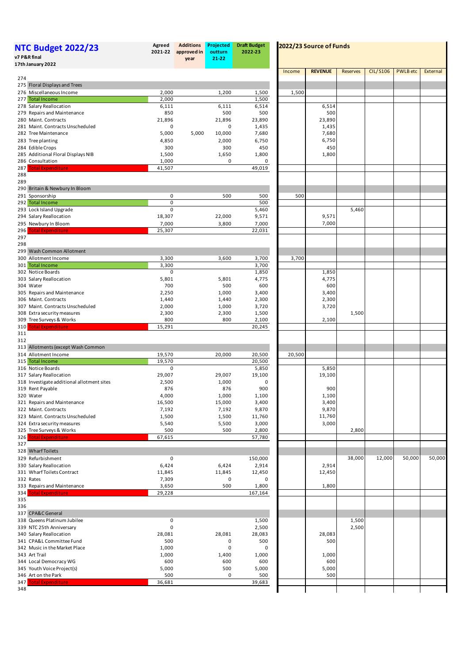| <b>Additions</b><br>Projected<br><b>Draft Budget</b><br>Agreed<br><b>NTC Budget 2022/23</b><br>2022-23<br>2021-22<br>approved in<br>outturn<br>v7 P&R final<br>21-22<br>year<br>17th January 2022 |                 |       |                 |                  |        | 2022/23 Source of Funds |                 |                 |                 |          |  |  |  |  |
|---------------------------------------------------------------------------------------------------------------------------------------------------------------------------------------------------|-----------------|-------|-----------------|------------------|--------|-------------------------|-----------------|-----------------|-----------------|----------|--|--|--|--|
|                                                                                                                                                                                                   |                 |       |                 |                  | Income | <b>REVENUE</b>          | <b>Reserves</b> | <b>CIL/S106</b> | <b>PWLB</b> etc | External |  |  |  |  |
| 274                                                                                                                                                                                               |                 |       |                 |                  |        |                         |                 |                 |                 |          |  |  |  |  |
| 275 Floral Displays and Trees<br>276 Miscellaneous Income                                                                                                                                         | 2,000           |       | 1,200           | 1,500            | 1,500  |                         |                 |                 |                 |          |  |  |  |  |
| 277 Total Income                                                                                                                                                                                  | 2,000           |       |                 | 1,500            |        |                         |                 |                 |                 |          |  |  |  |  |
| 278 Salary Reallocation                                                                                                                                                                           | 6,111           |       | 6,111           | 6,514            |        | 6,514                   |                 |                 |                 |          |  |  |  |  |
| 279 Repairs and Maintenance                                                                                                                                                                       | 850             |       | 500             | 500              |        | 500                     |                 |                 |                 |          |  |  |  |  |
| 280 Maint. Contracts                                                                                                                                                                              | 21,896          |       | 21,896          | 23,890           |        | 23,890                  |                 |                 |                 |          |  |  |  |  |
| 281 Maint. Contracts Unscheduled<br>282 Tree Maintenance                                                                                                                                          | 0<br>5,000      | 5,000 | 0<br>10,000     | 1,435<br>7,680   |        | 1,435<br>7,680          |                 |                 |                 |          |  |  |  |  |
| 283 Tree planting                                                                                                                                                                                 | 4,850           |       | 2,000           | 6,750            |        | 6,750                   |                 |                 |                 |          |  |  |  |  |
| 284 Edible Crops                                                                                                                                                                                  | 300             |       | 300             | 450              |        | 450                     |                 |                 |                 |          |  |  |  |  |
| 285 Additional Floral Displays NIB                                                                                                                                                                | 1,500           |       | 1,650           | 1,800            |        | 1,800                   |                 |                 |                 |          |  |  |  |  |
| 286 Consultation                                                                                                                                                                                  | 1,000           |       | 0               | 0                |        |                         |                 |                 |                 |          |  |  |  |  |
| 287 Total Expenditure                                                                                                                                                                             | 41,507          |       |                 | 49,019           |        |                         |                 |                 |                 |          |  |  |  |  |
| 288<br>289                                                                                                                                                                                        |                 |       |                 |                  |        |                         |                 |                 |                 |          |  |  |  |  |
| 290 Britain & Newbury In Bloom                                                                                                                                                                    |                 |       |                 |                  |        |                         |                 |                 |                 |          |  |  |  |  |
| 291 Sponsorship                                                                                                                                                                                   | 0               |       | 500             | 500              | 500    |                         |                 |                 |                 |          |  |  |  |  |
| 292 Total Income                                                                                                                                                                                  | $\mathbf 0$     |       |                 | 500              |        |                         |                 |                 |                 |          |  |  |  |  |
| 293 Lock Island Upgrade                                                                                                                                                                           | $\mathbf 0$     |       |                 | 5,460            |        |                         | 5,460           |                 |                 |          |  |  |  |  |
| 294 Salary Reallocation                                                                                                                                                                           | 18,307          |       | 22,000          | 9,571            |        | 9,571                   |                 |                 |                 |          |  |  |  |  |
| 295 Newbury In Bloom<br><b>Total Expenditure</b><br>296                                                                                                                                           | 7,000<br>25,307 |       | 3,800           | 7,000<br>22,031  |        | 7,000                   |                 |                 |                 |          |  |  |  |  |
| 297                                                                                                                                                                                               |                 |       |                 |                  |        |                         |                 |                 |                 |          |  |  |  |  |
| 298                                                                                                                                                                                               |                 |       |                 |                  |        |                         |                 |                 |                 |          |  |  |  |  |
| 299 Wash Common Allotment                                                                                                                                                                         |                 |       |                 |                  |        |                         |                 |                 |                 |          |  |  |  |  |
| 300 Allotment Income                                                                                                                                                                              | 3,300           |       | 3,600           | 3,700            | 3,700  |                         |                 |                 |                 |          |  |  |  |  |
| 301 Total Income                                                                                                                                                                                  | 3,300           |       |                 | 3,700            |        |                         |                 |                 |                 |          |  |  |  |  |
| 302 Notice Boards<br>303 Salary Reallocation                                                                                                                                                      | 0<br>5,801      |       | 5,801           | 1,850<br>4,775   |        | 1,850<br>4,775          |                 |                 |                 |          |  |  |  |  |
| 304 Water                                                                                                                                                                                         | 700             |       | 500             | 600              |        | 600                     |                 |                 |                 |          |  |  |  |  |
| 305 Repairs and Maintenance                                                                                                                                                                       | 2,250           |       | 1,000           | 3,400            |        | 3,400                   |                 |                 |                 |          |  |  |  |  |
| 306 Maint. Contracts                                                                                                                                                                              | 1,440           |       | 1,440           | 2,300            |        | 2,300                   |                 |                 |                 |          |  |  |  |  |
| 307 Maint. Contracts Unscheduled                                                                                                                                                                  | 2,000           |       | 1,000           | 3,720            |        | 3,720                   |                 |                 |                 |          |  |  |  |  |
| 308 Extra security measures                                                                                                                                                                       | 2,300           |       | 2,300           | 1,500            |        |                         | 1,500           |                 |                 |          |  |  |  |  |
| 309 Tree Surveys & Works                                                                                                                                                                          | 800             |       | 800             | 2,100            |        | 2,100                   |                 |                 |                 |          |  |  |  |  |
| 310<br><b>Total Expenditure</b><br>311                                                                                                                                                            | 15,291          |       |                 | 20,245           |        |                         |                 |                 |                 |          |  |  |  |  |
| 312                                                                                                                                                                                               |                 |       |                 |                  |        |                         |                 |                 |                 |          |  |  |  |  |
| 313 Allotments (except Wash Common                                                                                                                                                                |                 |       |                 |                  |        |                         |                 |                 |                 |          |  |  |  |  |
| 314 Allotment Income                                                                                                                                                                              | 19,570          |       | 20,000          | 20,500           | 20,500 |                         |                 |                 |                 |          |  |  |  |  |
| 315 Total Income                                                                                                                                                                                  | 19,570          |       |                 | 20,500           |        |                         |                 |                 |                 |          |  |  |  |  |
| 316 Notice Boards                                                                                                                                                                                 | 0               |       |                 | 5,850            |        | 5,850                   |                 |                 |                 |          |  |  |  |  |
| 317 Salary Reallocation<br>318 Investigate additional allotment sites                                                                                                                             | 29,007<br>2,500 |       | 29,007<br>1,000 | 19,100<br>0      |        | 19,100                  |                 |                 |                 |          |  |  |  |  |
| 319 Rent Payable                                                                                                                                                                                  | 876             |       | 876             | 900              |        | 900                     |                 |                 |                 |          |  |  |  |  |
| 320 Water                                                                                                                                                                                         | 4,000           |       | 1,000           | 1,100            |        | 1,100                   |                 |                 |                 |          |  |  |  |  |
| 321 Repairs and Maintenance                                                                                                                                                                       | 16,500          |       | 15,000          | 3,400            |        | 3,400                   |                 |                 |                 |          |  |  |  |  |
| 322 Maint. Contracts                                                                                                                                                                              | 7,192           |       | 7,192           | 9,870            |        | 9,870                   |                 |                 |                 |          |  |  |  |  |
| 323 Maint. Contracts Unscheduled                                                                                                                                                                  | 1,500           |       | 1,500           | 11,760           |        | 11,760                  |                 |                 |                 |          |  |  |  |  |
| 324 Extra security measures                                                                                                                                                                       | 5,540           |       | 5,500           | 3,000            |        | 3,000                   |                 |                 |                 |          |  |  |  |  |
| 325 Tree Surveys & Works<br>326 Total Expenditure                                                                                                                                                 | 500<br>67,615   |       | 500             | 2,800<br>57,780  |        |                         | 2,800           |                 |                 |          |  |  |  |  |
| 327                                                                                                                                                                                               |                 |       |                 |                  |        |                         |                 |                 |                 |          |  |  |  |  |
| 328 Wharf Toilets                                                                                                                                                                                 |                 |       |                 |                  |        |                         |                 |                 |                 |          |  |  |  |  |
| 329 Refurbishment                                                                                                                                                                                 | 0               |       |                 | 150,000          |        |                         | 38,000          | 12,000          | 50,000          | 50,000   |  |  |  |  |
| 330 Salary Reallocation                                                                                                                                                                           | 6,424           |       | 6,424           | 2,914            |        | 2,914                   |                 |                 |                 |          |  |  |  |  |
| 331 Wharf Toilets Contract                                                                                                                                                                        | 11,845          |       | 11,845          | 12,450           |        | 12,450                  |                 |                 |                 |          |  |  |  |  |
| 332 Rates                                                                                                                                                                                         | 7,309           |       | 0<br>500        | 0                |        | 1,800                   |                 |                 |                 |          |  |  |  |  |
| 333 Repairs and Maintenance<br><b>Total Expenditure</b><br>334                                                                                                                                    | 3,650<br>29,228 |       |                 | 1,800<br>167,164 |        |                         |                 |                 |                 |          |  |  |  |  |
| 335                                                                                                                                                                                               |                 |       |                 |                  |        |                         |                 |                 |                 |          |  |  |  |  |
| 336                                                                                                                                                                                               |                 |       |                 |                  |        |                         |                 |                 |                 |          |  |  |  |  |
| 337 CPA&C General                                                                                                                                                                                 |                 |       |                 |                  |        |                         |                 |                 |                 |          |  |  |  |  |
| 338 Queens Platinum Jubilee                                                                                                                                                                       | 0               |       |                 | 1,500            |        |                         | 1,500           |                 |                 |          |  |  |  |  |
| 339 NTC 25th Anniversary                                                                                                                                                                          | 0               |       |                 | 2,500            |        |                         | 2,500           |                 |                 |          |  |  |  |  |
| 340 Salary Reallocation<br>341 CPA&L Committee Fund                                                                                                                                               | 28,081<br>500   |       | 28,081<br>0     | 28,083<br>500    |        | 28,083<br>500           |                 |                 |                 |          |  |  |  |  |
| 342 Music in the Market Place                                                                                                                                                                     | 1,000           |       | 0               | 0                |        |                         |                 |                 |                 |          |  |  |  |  |
| 343 Art Trail                                                                                                                                                                                     | 1,000           |       | 1,400           | 1,000            |        | 1,000                   |                 |                 |                 |          |  |  |  |  |
| 344 Local Democracy WG                                                                                                                                                                            | 600             |       | 600             | 600              |        | 600                     |                 |                 |                 |          |  |  |  |  |
| 345 Youth Voice Project(s)                                                                                                                                                                        | 5,000           |       | 500             | 5,000            |        | 5,000                   |                 |                 |                 |          |  |  |  |  |
| 346 Art on the Park                                                                                                                                                                               | 500             |       | 0               | 500              |        | 500                     |                 |                 |                 |          |  |  |  |  |
| <b>Total Expenditure</b><br>347                                                                                                                                                                   | 36,681          |       |                 | 39,683           |        |                         |                 |                 |                 |          |  |  |  |  |
| 348                                                                                                                                                                                               |                 |       |                 |                  |        |                         |                 |                 |                 |          |  |  |  |  |